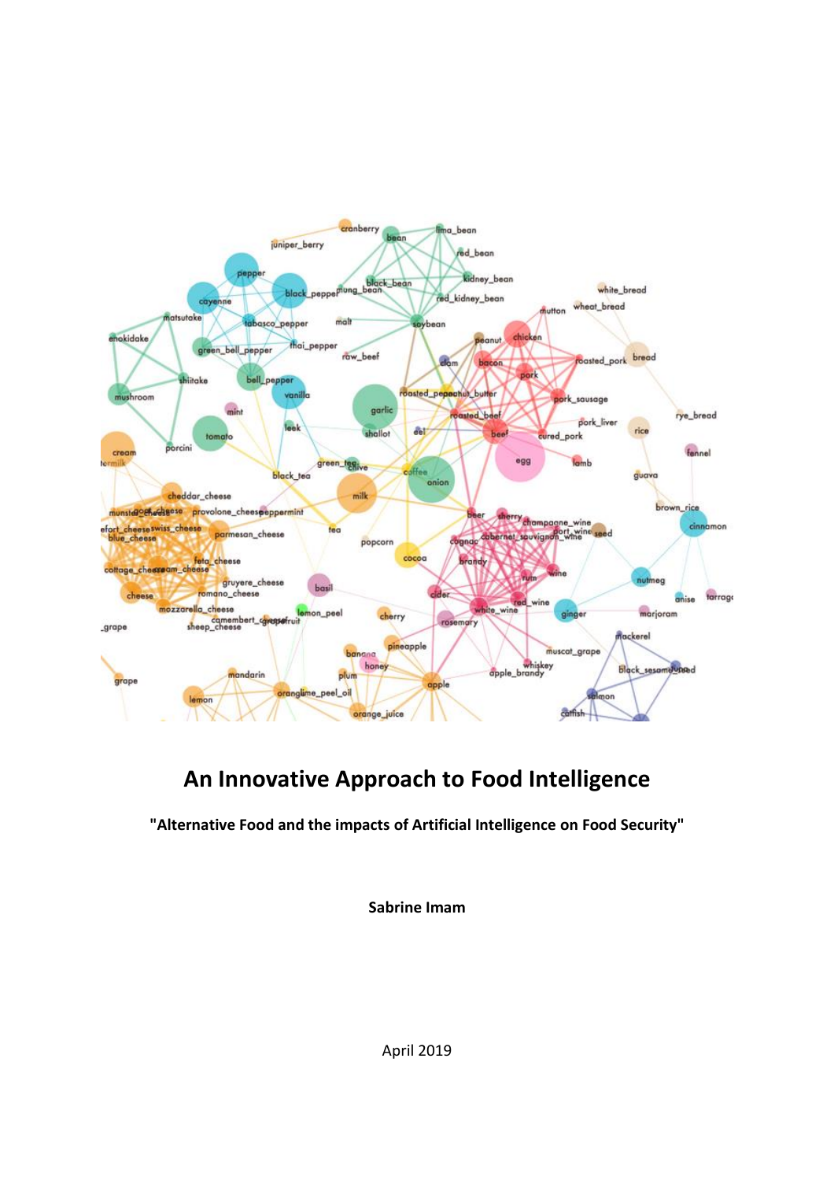

# **An Innovative Approach to Food Intelligence**

**"Alternative Food and the impacts of Artificial Intelligence on Food Security"**

**Sabrine Imam**

April 2019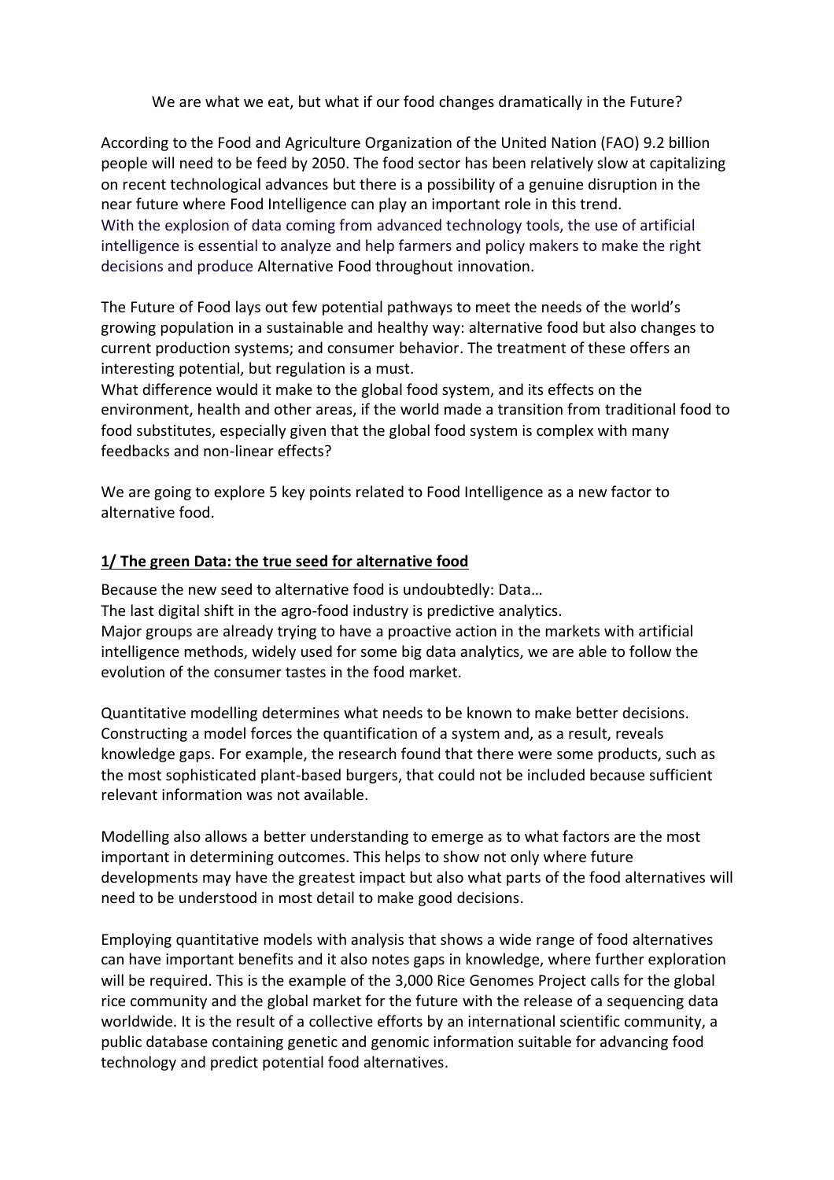We are what we eat, but what if our food changes dramatically in the Future?

According to the Food and Agriculture Organization of the United Nation (FAO) 9.2 billion people will need to be feed by 2050. The food sector has been relatively slow at capitalizing on recent technological advances but there is a possibility of a genuine disruption in the near future where Food Intelligence can play an important role in this trend. With the explosion of data coming from advanced technology tools, the use of artificial intelligence is essential to analyze and help farmers and policy makers to make the right decisions and produce Alternative Food throughout innovation.

The Future of Food lays out few potential pathways to meet the needs of the world's growing population in a sustainable and healthy way: alternative food but also changes to current production systems; and consumer behavior. The treatment of these offers an interesting potential, but regulation is a must.

What difference would it make to the global food system, and its effects on the environment, health and other areas, if the world made a transition from traditional food to food substitutes, especially given that the global food system is complex with many feedbacks and non-linear effects?

We are going to explore 5 key points related to Food Intelligence as a new factor to alternative food.

#### **1/ The green Data: the true seed for alternative food**

Because the new seed to alternative food is undoubtedly: Data… The last digital shift in the agro-food industry is predictive analytics. Major groups are already trying to have a proactive action in the markets with artificial intelligence methods, widely used for some big data analytics, we are able to follow the evolution of the consumer tastes in the food market.

Quantitative modelling determines what needs to be known to make better decisions. Constructing a model forces the quantification of a system and, as a result, reveals knowledge gaps. For example, the research found that there were some products, such as the most sophisticated plant-based burgers, that could not be included because sufficient relevant information was not available.

Modelling also allows a better understanding to emerge as to what factors are the most important in determining outcomes. This helps to show not only where future developments may have the greatest impact but also what parts of the food alternatives will need to be understood in most detail to make good decisions.

Employing quantitative models with analysis that shows a wide range of food alternatives can have important benefits and it also notes gaps in knowledge, where further exploration will be required. This is the example of the 3,000 Rice Genomes Project calls for the global rice community and the global market for the future with the release of a sequencing data worldwide. It is the result of a collective efforts by an international scientific community, a public database containing genetic and genomic information suitable for advancing food technology and predict potential food alternatives.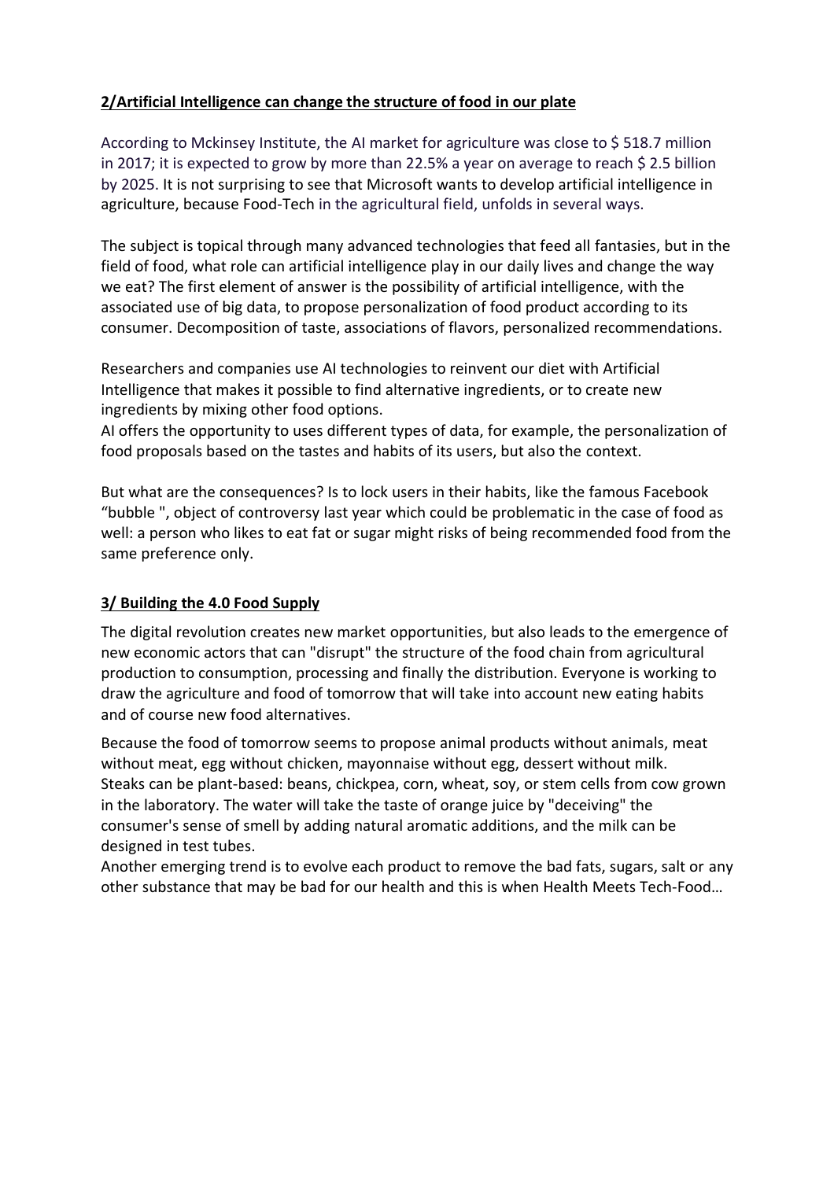## **2/Artificial Intelligence can change the structure of food in our plate**

According to Mckinsey Institute, the AI market for agriculture was close to \$ 518.7 million in 2017; it is expected to grow by more than 22.5% a year on average to reach \$ 2.5 billion by 2025. It is not surprising to see that Microsoft wants to develop artificial intelligence in agriculture, because Food-Tech in the agricultural field, unfolds in several ways.

The subject is topical through many advanced technologies that feed all fantasies, but in the field of food, what role can artificial intelligence play in our daily lives and change the way we eat? The first element of answer is the possibility of artificial intelligence, with the associated use of big data, to propose personalization of food product according to its consumer. Decomposition of taste, associations of flavors, personalized recommendations.

Researchers and companies use AI technologies to reinvent our diet with Artificial Intelligence that makes it possible to find alternative ingredients, or to create new ingredients by mixing other food options.

AI offers the opportunity to uses different types of data, for example, the personalization of food proposals based on the tastes and habits of its users, but also the context.

But what are the consequences? Is to lock users in their habits, like the famous Facebook "bubble ", object of controversy last year which could be problematic in the case of food as well: a person who likes to eat fat or sugar might risks of being recommended food from the same preference only.

#### **3/ Building the 4.0 Food Supply**

The digital revolution creates new market opportunities, but also leads to the emergence of new economic actors that can "disrupt" the structure of the food chain from agricultural production to consumption, processing and finally the distribution. Everyone is working to draw the agriculture and food of tomorrow that will take into account new eating habits and of course new food alternatives.

Because the food of tomorrow seems to propose animal products without animals, meat without meat, egg without chicken, mayonnaise without egg, dessert without milk. Steaks can be plant-based: beans, chickpea, corn, wheat, soy, or stem cells from cow grown in the laboratory. The water will take the taste of orange juice by "deceiving" the consumer's sense of smell by adding natural aromatic additions, and the milk can be designed in test tubes.

Another emerging trend is to evolve each product to remove the bad fats, sugars, salt or any other substance that may be bad for our health and this is when Health Meets Tech-Food…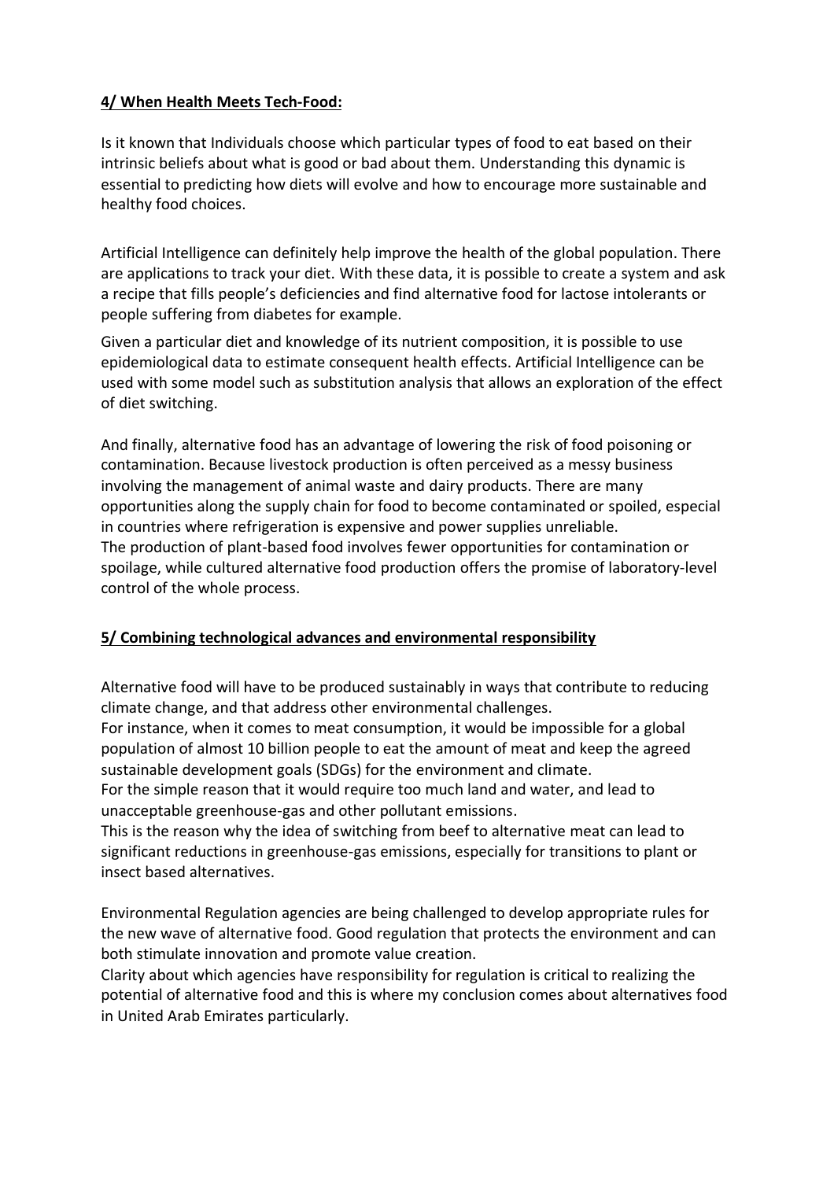### **4/ When Health Meets Tech-Food:**

Is it known that Individuals choose which particular types of food to eat based on their intrinsic beliefs about what is good or bad about them. Understanding this dynamic is essential to predicting how diets will evolve and how to encourage more sustainable and healthy food choices.

Artificial Intelligence can definitely help improve the health of the global population. There are applications to track your diet. With these data, it is possible to create a system and ask a recipe that fills people's deficiencies and find alternative food for lactose intolerants or people suffering from diabetes for example.

Given a particular diet and knowledge of its nutrient composition, it is possible to use epidemiological data to estimate consequent health effects. Artificial Intelligence can be used with some model such as substitution analysis that allows an exploration of the effect of diet switching.

And finally, alternative food has an advantage of lowering the risk of food poisoning or contamination. Because livestock production is often perceived as a messy business involving the management of animal waste and dairy products. There are many opportunities along the supply chain for food to become contaminated or spoiled, especial in countries where refrigeration is expensive and power supplies unreliable. The production of plant-based food involves fewer opportunities for contamination or spoilage, while cultured alternative food production offers the promise of laboratory-level control of the whole process.

#### **5/ Combining technological advances and environmental responsibility**

Alternative food will have to be produced sustainably in ways that contribute to reducing climate change, and that address other environmental challenges.

For instance, when it comes to meat consumption, it would be impossible for a global population of almost 10 billion people to eat the amount of meat and keep the agreed sustainable development goals (SDGs) for the environment and climate.

For the simple reason that it would require too much land and water, and lead to unacceptable greenhouse-gas and other pollutant emissions.

This is the reason why the idea of switching from beef to alternative meat can lead to significant reductions in greenhouse-gas emissions, especially for transitions to plant or insect based alternatives.

Environmental Regulation agencies are being challenged to develop appropriate rules for the new wave of alternative food. Good regulation that protects the environment and can both stimulate innovation and promote value creation.

Clarity about which agencies have responsibility for regulation is critical to realizing the potential of alternative food and this is where my conclusion comes about alternatives food in United Arab Emirates particularly.